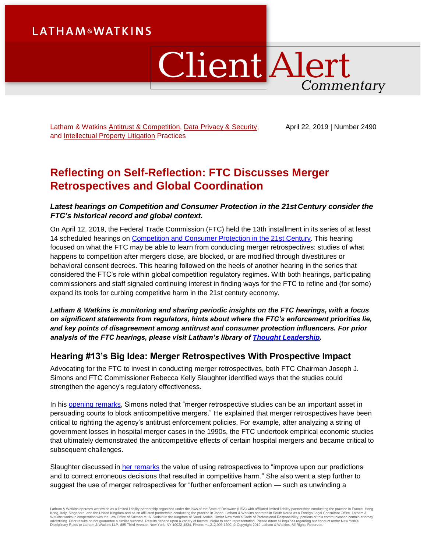# **LATHAM&WATKINS**

# ClientAlert Commentary

Latham & Watkins [Antitrust & Competition,](https://www.lw.com/practices/AntitrustAndCompetition) [Data Privacy & Security,](https://www.lw.com/practices/DataPrivacy-Security) and [Intellectual Property Litigation](https://www.lw.com/practices/IntellectualPropertyLitigation) Practices

April 22, 2019 | Number 2490

# **Reflecting on Self-Reflection: FTC Discusses Merger Retrospectives and Global Coordination**

### *Latest hearings on Competition and Consumer Protection in the 21st Century consider the FTC's historical record and global context.*

On April 12, 2019, the Federal Trade Commission (FTC) held the 13th installment in its series of at least 14 scheduled hearings on [Competition and Consumer Protection in the 21st](https://www.ftc.gov/policy/hearings-competition-consumer-protection) Century. This hearing focused on what the FTC may be able to learn from conducting merger retrospectives: studies of what happens to competition after mergers close, are blocked, or are modified through divestitures or behavioral consent decrees. This hearing followed on the heels of another hearing in the series that considered the FTC's role within global competition regulatory regimes. With both hearings, participating commissioners and staff signaled continuing interest in finding ways for the FTC to refine and (for some) expand its tools for curbing competitive harm in the 21st century economy.

*Latham & Watkins is monitoring and sharing periodic insights on the FTC hearings, with a focus on significant statements from regulators, hints about where the FTC's enforcement priorities lie, and key points of disagreement among antitrust and consumer protection influencers. For prior analysis of the FTC hearings, please visit Latham's library of [Thought Leadership.](https://www.lw.com/thoughtLeadershipSearch.aspx?searchtopicids=87)*

## **Hearing #13's Big Idea: Merger Retrospectives With Prospective Impact**

Advocating for the FTC to invest in conducting merger retrospectives, both FTC Chairman Joseph J. Simons and FTC Commissioner Rebecca Kelly Slaughter identified ways that the studies could strengthen the agency's regulatory effectiveness.

In his [opening remarks,](https://www.ftc.gov/system/files/documents/public_statements/1513555/merger_retrospectives_hearing_opening_remarks_chairman.pdf) Simons noted that "merger retrospective studies can be an important asset in persuading courts to block anticompetitive mergers." He explained that merger retrospectives have been critical to righting the agency's antitrust enforcement policies. For example, after analyzing a string of government losses in hospital merger cases in the 1990s, the FTC undertook empirical economic studies that ultimately demonstrated the anticompetitive effects of certain hospital mergers and became critical to subsequent challenges.

Slaughter discussed in [her remarks](https://www.ftc.gov/system/files/documents/public_statements/1513758/slaughter_remarks_at_ftc_retrospectives_hearing_4-12-19.pdf) the value of using retrospectives to "improve upon our predictions and to correct erroneous decisions that resulted in competitive harm." She also went a step further to suggest the use of merger retrospectives for "further enforcement action — such as unwinding a

Latham & Watkins operates worldwide as a limited liability partnership organized under the laws of the State of Delaware (USA) with affiliated limited liability partnerships conducting the practice in France, Hong<br>Kong, It Disciplinary Rules to Latham & Watkins LLP, 885 Third Avenue, New York, NY 10022-4834, Phone: +1.212.906.1200. © Copyright 2019 Latham & Watkins. All Rights Reserved.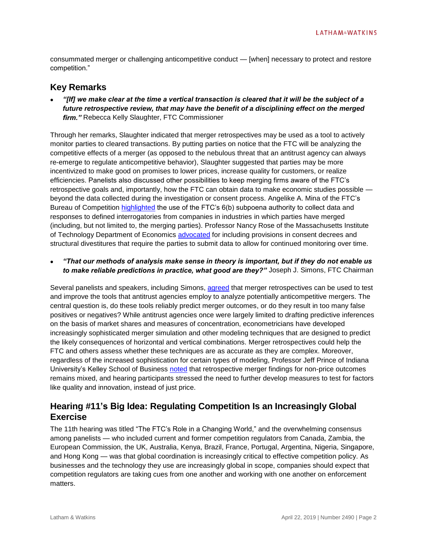consummated merger or challenging anticompetitive conduct — [when] necessary to protect and restore competition."

## **Key Remarks**

 *"[If] we make clear at the time a vertical transaction is cleared that it will be the subject of a future retrospective review, that may have the benefit of a disciplining effect on the merged firm."* Rebecca Kelly Slaughter, FTC Commissioner

Through her remarks, Slaughter indicated that merger retrospectives may be used as a tool to actively monitor parties to cleared transactions. By putting parties on notice that the FTC will be analyzing the competitive effects of a merger (as opposed to the nebulous threat that an antitrust agency can always re-emerge to regulate anticompetitive behavior), Slaughter suggested that parties may be more incentivized to make good on promises to lower prices, increase quality for customers, or realize efficiencies. Panelists also discussed other possibilities to keep merging firms aware of the FTC's retrospective goals and, importantly, how the FTC can obtain data to make economic studies possible beyond the data collected during the investigation or consent process. Angelike A. Mina of the FTC's Bureau of Competition [highlighted](https://www.ftc.gov/system/files/documents/public_events/1466002/slides-hearings-april_12.pdf) the use of the FTC's 6(b) subpoena authority to collect data and responses to defined interrogatories from companies in industries in which parties have merged (including, but not limited to, the merging parties). Professor Nancy Rose of the Massachusetts Institute of Technology Department of Economics [advocated](https://www.ftc.gov/news-events/audio-video/video/ftc-hearing-13-april-12-session-2-merger-retrospectives) for including provisions in consent decrees and structural divestitures that require the parties to submit data to allow for continued monitoring over time.

 *"That our methods of analysis make sense in theory is important, but if they do not enable us to make reliable predictions in practice, what good are they?"* Joseph J. Simons, FTC Chairman

Several panelists and speakers, including Simons[, agreed](https://www.ftc.gov/news-events/audio-video/video/ftc-hearing-13-april-12-session-1-merger-retrospectives) that merger retrospectives can be used to test and improve the tools that antitrust agencies employ to analyze potentially anticompetitive mergers. The central question is, do these tools reliably predict merger outcomes, or do they result in too many false positives or negatives? While antitrust agencies once were largely limited to drafting predictive inferences on the basis of market shares and measures of concentration, econometricians have developed increasingly sophisticated merger simulation and other modeling techniques that are designed to predict the likely consequences of horizontal and vertical combinations. Merger retrospectives could help the FTC and others assess whether these techniques are as accurate as they are complex. Moreover, regardless of the increased sophistication for certain types of modeling, Professor Jeff Prince of Indiana University's Kelley School of Business [noted](https://www.ftc.gov/news-events/audio-video/video/ftc-hearing-13-april-12-session-1-merger-retrospectives) that retrospective merger findings for non-price outcomes remains mixed, and hearing participants stressed the need to further develop measures to test for factors like quality and innovation, instead of just price.

# **Hearing #11's Big Idea: Regulating Competition Is an Increasingly Global Exercise**

The 11th hearing was titled "The FTC's Role in a Changing World," and the overwhelming consensus among panelists — who included current and former competition regulators from Canada, Zambia, the European Commission, the UK, Australia, Kenya, Brazil, France, Portugal, Argentina, Nigeria, Singapore, and Hong Kong — was that global coordination is increasingly critical to effective competition policy. As businesses and the technology they use are increasingly global in scope, companies should expect that competition regulators are taking cues from one another and working with one another on enforcement matters.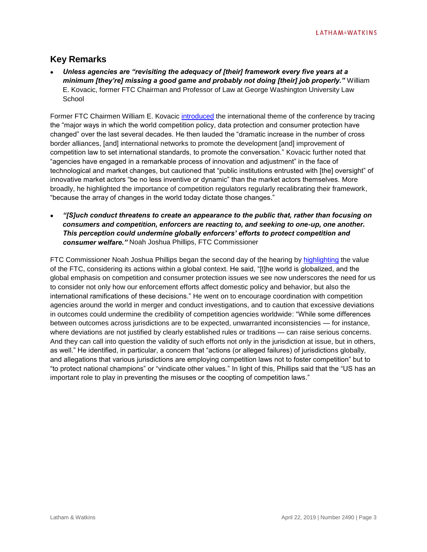# **Key Remarks**

 *Unless agencies are "revisiting the adequacy of [their] framework every five years at a minimum [they're] missing a good game and probably not doing [their] job properly."* William E. Kovacic, former FTC Chairman and Professor of Law at George Washington University Law **School** 

Former FTC Chairmen William E. Kovacic [introduced](https://www.ftc.gov/news-events/audio-video/video/ftc-hearing-11-march-25-session-2-ftcs-role-changing-world) the international theme of the conference by tracing the "major ways in which the world competition policy, data protection and consumer protection have changed" over the last several decades. He then lauded the "dramatic increase in the number of cross border alliances, [and] international networks to promote the development [and] improvement of competition law to set international standards, to promote the conversation." Kovacic further noted that "agencies have engaged in a remarkable process of innovation and adjustment" in the face of technological and market changes, but cautioned that "public institutions entrusted with [the] oversight" of innovative market actors "be no less inventive or dynamic" than the market actors themselves. More broadly, he highlighted the importance of competition regulators regularly recalibrating their framework, "because the array of changes in the world today dictate those changes."

 *"[S]uch conduct threatens to create an appearance to the public that, rather than focusing on consumers and competition, enforcers are reacting to, and seeking to one-up, one another. This perception could undermine globally enforcers' efforts to protect competition and consumer welfare."* Noah Joshua Phillips, FTC Commissioner

FTC Commissioner Noah Joshua Phillips began the second day of the hearing by [highlighting](https://www.ftc.gov/system/files/documents/public_statements/1508879/phillips_-_opening_remarks_ftc_international_hearings_3-26-19_1.pdf) the value of the FTC, considering its actions within a global context. He said, "[t]he world is globalized, and the global emphasis on competition and consumer protection issues we see now underscores the need for us to consider not only how our enforcement efforts affect domestic policy and behavior, but also the international ramifications of these decisions." He went on to encourage coordination with competition agencies around the world in merger and conduct investigations, and to caution that excessive deviations in outcomes could undermine the credibility of competition agencies worldwide: "While some differences between outcomes across jurisdictions are to be expected, unwarranted inconsistencies — for instance, where deviations are not justified by clearly established rules or traditions — can raise serious concerns. And they can call into question the validity of such efforts not only in the jurisdiction at issue, but in others, as well." He identified, in particular, a concern that "actions (or alleged failures) of jurisdictions globally, and allegations that various jurisdictions are employing competition laws not to foster competition" but to "to protect national champions" or "vindicate other values." In light of this, Phillips said that the "US has an important role to play in preventing the misuses or the coopting of competition laws."